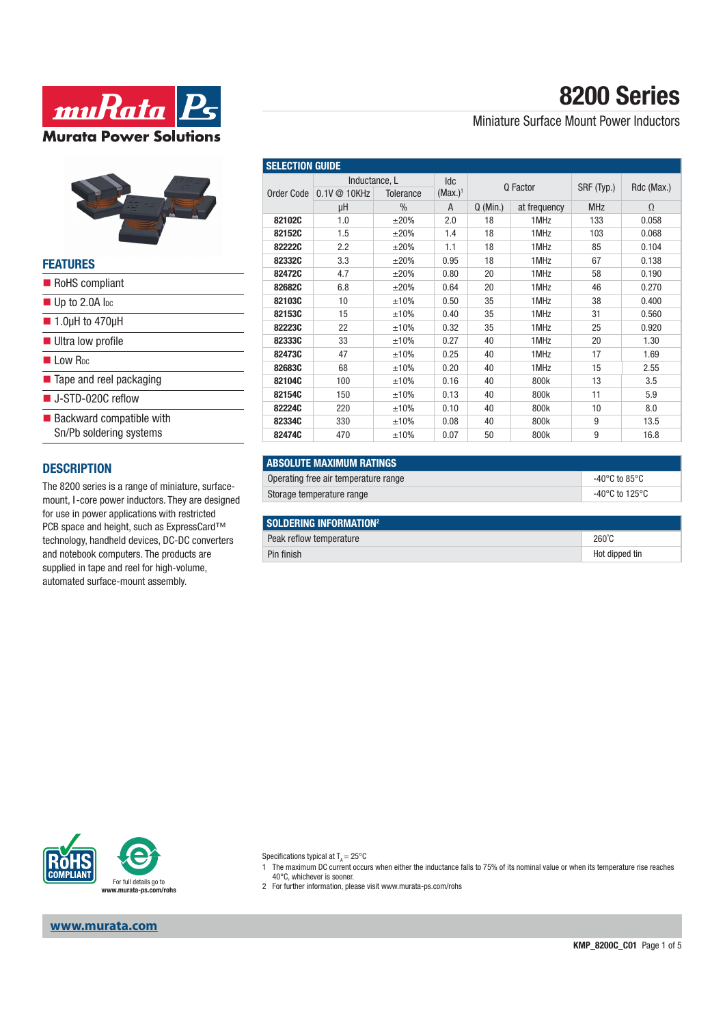



#### **FEATURES**

| RoHS compliant                                                     |
|--------------------------------------------------------------------|
| $\blacksquare$ Up to 2.0A l <sub>pc</sub>                          |
| $\blacksquare$ 1.0µH to 470µH                                      |
| <b>Ultra low profile</b>                                           |
| <b>Low Roc</b>                                                     |
| ■ Tape and reel packaging                                          |
| $\blacksquare$ J-STD-020C reflow                                   |
| $\blacksquare$ Backward compatible with<br>Sn/Pb soldering systems |

#### **DESCRIPTION**

The 8200 series is a range of miniature, surfacemount, I-core power inductors. They are designed for use in power applications with restricted PCB space and height, such as ExpressCard™ technology, handheld devices, DC-DC converters and notebook computers. The products are supplied in tape and reel for high-volume, automated surface-mount assembly.

# **8200 Series**

Miniature Surface Mount Power Inductors

| <b>SELECTION GUIDE</b> |                                                   |               |                          |            |              |            |            |  |
|------------------------|---------------------------------------------------|---------------|--------------------------|------------|--------------|------------|------------|--|
| Order Code             | Inductance, L<br>0.1V @ 10KHz<br><b>Tolerance</b> |               | <b>Idc</b><br>$(Max.)^1$ |            | Q Factor     | SRF (Typ.) | Rdc (Max.) |  |
|                        | μH                                                | $\frac{0}{0}$ | A                        | $Q$ (Min.) | at frequency | <b>MHz</b> | $\Omega$   |  |
| 82102C                 | 1.0                                               | $\pm 20\%$    | 2.0                      | 18         | 1MHz         | 133        | 0.058      |  |
| 82152C                 | 1.5                                               | $\pm 20\%$    | 1.4                      | 18         | 1MHz         | 103        | 0.068      |  |
| 82222C                 | 2.2                                               | $\pm 20\%$    | 1.1                      | 18         | 1MHz         | 85         | 0.104      |  |
| 82332C                 | 3.3                                               | $\pm 20\%$    | 0.95                     | 18         | 1MHz         | 67         | 0.138      |  |
| 82472C                 | 4.7                                               | $\pm 20\%$    | 0.80                     | 20         | 1MHz         | 58         | 0.190      |  |
| 82682C                 | 6.8                                               | $\pm 20\%$    | 0.64                     | 20         | 1MHz         | 46         | 0.270      |  |
| 82103C                 | 10                                                | ±10%          | 0.50                     | 35         | 1MHz         | 38         | 0.400      |  |
| 82153C                 | 15                                                | ±10%          | 0.40                     | 35         | 1MHz         | 31         | 0.560      |  |
| 82223C                 | 22                                                | ±10%          | 0.32                     | 35         | 1MHz         | 25         | 0.920      |  |
| 82333C                 | 33                                                | ±10%          | 0.27                     | 40         | 1MHz         | 20         | 1.30       |  |
| 82473C                 | 47                                                | ±10%          | 0.25                     | 40         | 1MHz         | 17         | 1.69       |  |
| 82683C                 | 68                                                | ±10%          | 0.20                     | 40         | 1MHz         | 15         | 2.55       |  |
| 82104C                 | 100                                               | ±10%          | 0.16                     | 40         | 800k         | 13         | 3.5        |  |
| 82154C                 | 150                                               | ±10%          | 0.13                     | 40         | 800k         | 11         | 5.9        |  |
| 82224C                 | 220                                               | ±10%          | 0.10                     | 40         | 800k         | 10         | 8.0        |  |
| 82334C                 | 330                                               | ±10%          | 0.08                     | 40         | 800k         | 9          | 13.5       |  |
| 82474C                 | 470                                               | ±10%          | 0.07                     | 50         | 800k         | 9          | 16.8       |  |

| <b>ABSOLUTE MAXIMUM RATINGS</b>      |                |
|--------------------------------------|----------------|
| Operating free air temperature range | -40°C to 85°C  |
| Storage temperature range            | -40°C to 125°C |

| SOLDERING INFORMATION <sup>2</sup> |                 |  |  |  |
|------------------------------------|-----------------|--|--|--|
| Peak reflow temperature            | $260^{\circ}$ C |  |  |  |
| Pin finish                         | Hot dipped tin  |  |  |  |



**www.murata.com**

Specifications typical at  $T_A = 25^{\circ}$ C

1 The maximum DC current occurs when either the inductance falls to 75% of its nominal value or when its temperature rise reaches 40°C, whichever is sooner.

2 For further information, please visit www.murata-ps.com/rohs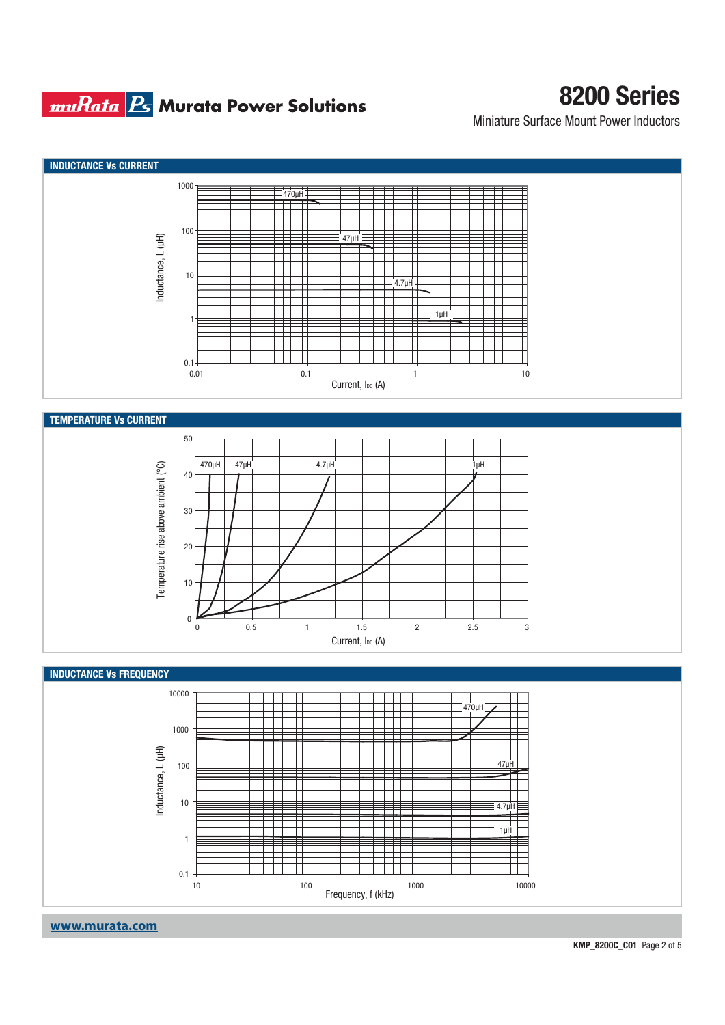#### **muRata Bs** Murata Power Solutions

## **8200 Series**

Miniature Surface Mount Power Inductors

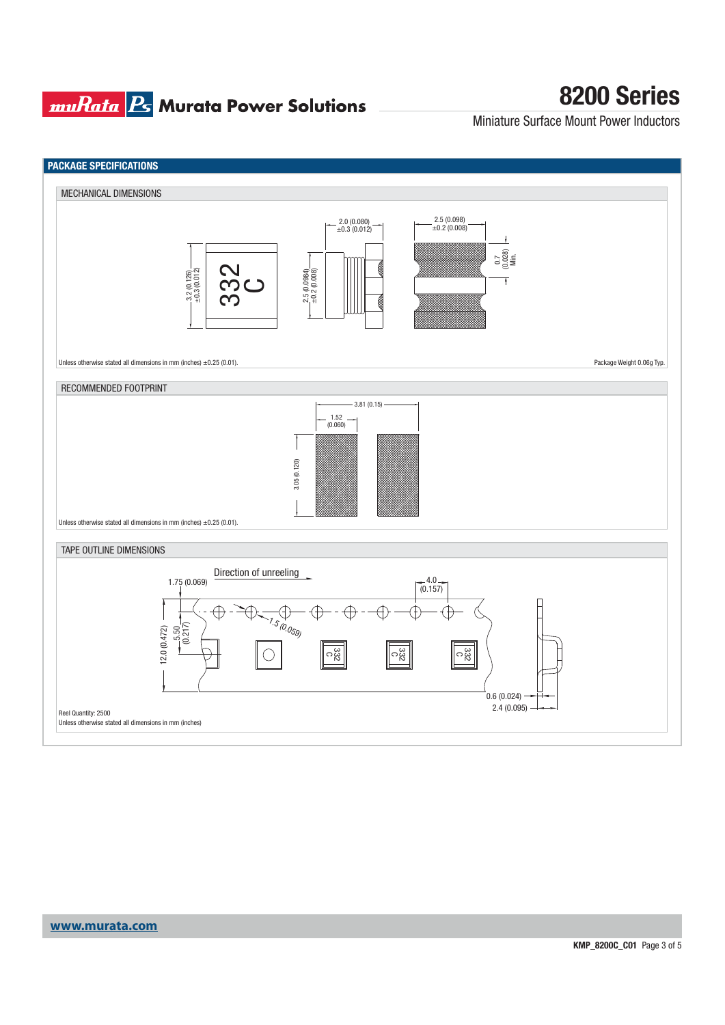## **muRata Ps** Murata Power Solutions

# **8200 Series**

Miniature Surface Mount Power Inductors

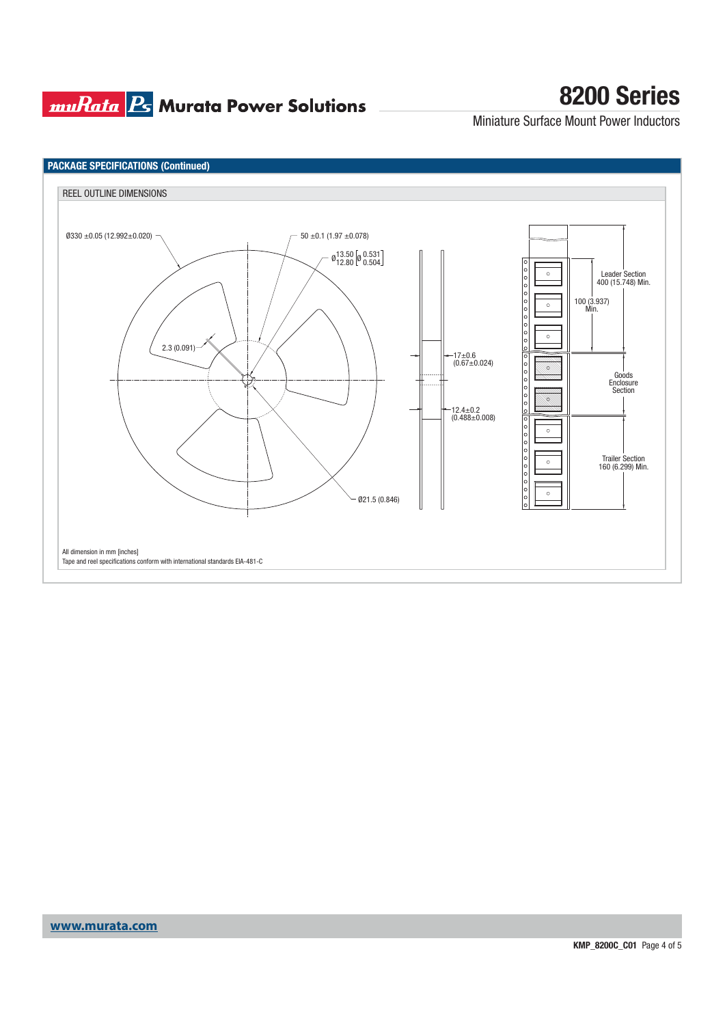## **muRata Ps** Murata Power Solutions

# **8200 Series**

Miniature Surface Mount Power Inductors